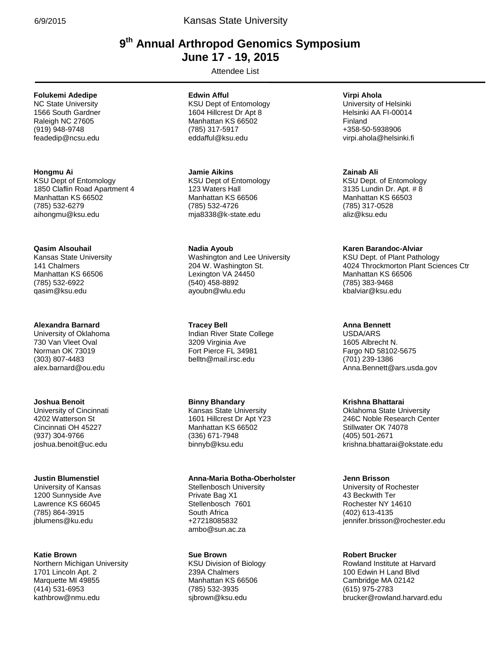# **9 th Annual Arthropod Genomics Symposium . June 17 - 19, 2015 .**

Attendee List **.**

# **Folukemi Adedipe**

NC State University 1566 South Gardner Raleigh NC 27605 (919) 948-9748 feadedip@ncsu.edu

### **Hongmu Ai**

KSU Dept of Entomology 1850 Claflin Road Apartment 4 Manhattan KS 66502 (785) 532-6279 aihongmu@ksu.edu

# **Qasim Alsouhail**

Kansas State University 141 Chalmers Manhattan KS 66506 (785) 532-6922 qasim@ksu.edu

### **Alexandra Barnard**

University of Oklahoma 730 Van Vleet Oval Norman OK 73019 (303) 807-4483 alex.barnard@ou.edu

### **Joshua Benoit**

University of Cincinnati 4202 Watterson St Cincinnati OH 45227 (937) 304-9766 joshua.benoit@uc.edu

### **Justin Blumenstiel**

University of Kansas 1200 Sunnyside Ave Lawrence KS 66045 (785) 864-3915 jblumens@ku.edu

### **Katie Brown**

Northern Michigan University 1701 Lincoln Apt. 2 Marquette MI 49855 (414) 531-6953 kathbrow@nmu.edu

### **Edwin Afful**

KSU Dept of Entomology 1604 Hillcrest Dr Apt 8 Manhattan KS 66502 (785) 317-5917 eddafful@ksu.edu

**Jamie Aikins** KSU Dept of Entomology 123 Waters Hall Manhattan KS 66506 (785) 532-4726 mja8338@k-state.edu

### **Nadia Ayoub**

Washington and Lee University 204 W. Washington St. Lexington VA 24450 (540) 458-8892 ayoubn@wlu.edu

**Tracey Bell**

Indian River State College 3209 Virginia Ave Fort Pierce FL 34981 belltn@mail.irsc.edu

# **Binny Bhandary**

Kansas State University 1601 Hillcrest Dr Apt Y23 Manhattan KS 66502 (336) 671-7948 binnyb@ksu.edu

# **Anna-Maria Botha-Oberholster**

Stellenbosch University Private Bag X1 Stellenbosch 7601 South Africa +27218085832 ambo@sun.ac.za

### **Sue Brown**

KSU Division of Biology 239A Chalmers Manhattan KS 66506 (785) 532-3935 sjbrown@ksu.edu

### **Virpi Ahola**

University of Helsinki Helsinki AA FI-00014 Finland +358-50-5938906 virpi.ahola@helsinki.fi

#### **Zainab Ali**

KSU Dept. of Entomology 3135 Lundin Dr. Apt. # 8 Manhattan KS 66503 (785) 317-0528 aliz@ksu.edu

### **Karen Barandoc-Alviar**

KSU Dept. of Plant Pathology 4024 Throckmorton Plant Sciences Ctr Manhattan KS 66506 (785) 383-9468 kbalviar@ksu.edu

# **Anna Bennett**

USDA/ARS 1605 Albrecht N. Fargo ND 58102-5675 (701) 239-1386 Anna.Bennett@ars.usda.gov

### **Krishna Bhattarai**

Oklahoma State University 246C Noble Research Center Stillwater OK 74078 (405) 501-2671 krishna.bhattarai@okstate.edu

### **Jenn Brisson**

University of Rochester 43 Beckwith Ter Rochester NY 14610 (402) 613-4135 jennifer.brisson@rochester.edu

### **Robert Brucker**

Rowland Institute at Harvard 100 Edwin H Land Blvd Cambridge MA 02142 (615) 975-2783 brucker@rowland.harvard.edu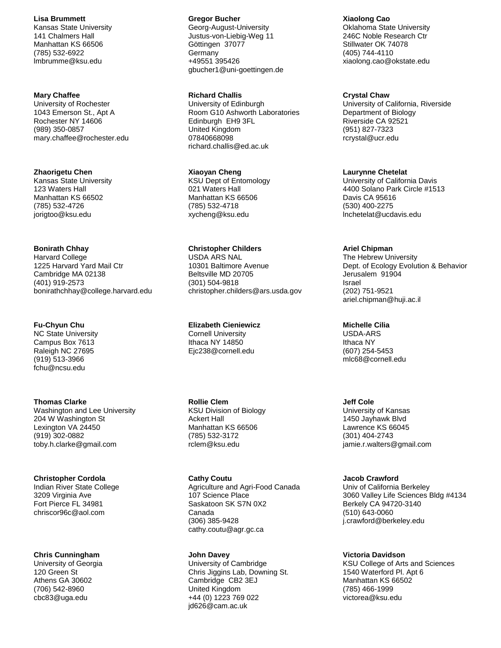**Lisa Brummett**

Kansas State University 141 Chalmers Hall Manhattan KS 66506 (785) 532-6922 lmbrumme@ksu.edu

#### **Mary Chaffee**

University of Rochester 1043 Emerson St., Apt A Rochester NY 14606 (989) 350-0857 mary.chaffee@rochester.edu

#### **Zhaorigetu Chen**

Kansas State University 123 Waters Hall Manhattan KS 66502 (785) 532-4726 jorigtoo@ksu.edu

#### **Bonirath Chhay**

Harvard College 1225 Harvard Yard Mail Ctr Cambridge MA 02138 (401) 919-2573 bonirathchhay@college.harvard.edu

### **Fu-Chyun Chu**

NC State University Campus Box 7613 Raleigh NC 27695 (919) 513-3966 fchu@ncsu.edu

#### **Thomas Clarke**

Washington and Lee University 204 W Washington St Lexington VA 24450 (919) 302-0882 toby.h.clarke@gmail.com

#### **Christopher Cordola**

Indian River State College 3209 Virginia Ave Fort Pierce FL 34981 chriscor96c@aol.com

### **Chris Cunningham**

University of Georgia 120 Green St Athens GA 30602 (706) 542-8960 cbc83@uga.edu

#### **Gregor Bucher**

Georg-August-University Justus-von-Liebig-Weg 11 Göttingen 37077 **Germany** +49551 395426 gbucher1@uni-goettingen.de

### **Richard Challis**

University of Edinburgh Room G10 Ashworth Laboratories Edinburgh EH9 3FL United Kingdom 07840668098 richard.challis@ed.ac.uk

### **Xiaoyan Cheng**

KSU Dept of Entomology 021 Waters Hall Manhattan KS 66506 (785) 532-4718 xycheng@ksu.edu

### **Christopher Childers**

USDA ARS NAL 10301 Baltimore Avenue Beltsville MD 20705 (301) 504-9818 christopher.childers@ars.usda.gov

# **Elizabeth Cieniewicz**

Cornell University Ithaca NY 14850 Ejc238@cornell.edu

### **Rollie Clem**

KSU Division of Biology Ackert Hall Manhattan KS 66506 (785) 532-3172 rclem@ksu.edu

# **Cathy Coutu**

Agriculture and Agri-Food Canada 107 Science Place Saskatoon SK S7N 0X2 Canada (306) 385-9428 cathy.coutu@agr.gc.ca

#### **John Davey**

University of Cambridge Chris Jiggins Lab, Downing St. Cambridge CB2 3EJ United Kingdom +44 (0) 1223 769 022 jd626@cam.ac.uk

# **Xiaolong Cao**

Oklahoma State University 246C Noble Research Ctr Stillwater OK 74078 (405) 744-4110 xiaolong.cao@okstate.edu

### **Crystal Chaw**

University of California, Riverside Department of Biology Riverside CA 92521 (951) 827-7323 rcrystal@ucr.edu

#### **Laurynne Chetelat**

University of California Davis 4400 Solano Park Circle #1513 Davis CA 95616 (530) 400-2275 lnchetelat@ucdavis.edu

#### **Ariel Chipman**

The Hebrew University Dept. of Ecology Evolution & Behavior Jerusalem 91904 Israel (202) 751-9521 ariel.chipman@huji.ac.il

### **Michelle Cilia**

USDA-ARS Ithaca NY (607) 254-5453 mlc68@cornell.edu

### **Jeff Cole**

University of Kansas 1450 Jayhawk Blvd Lawrence KS 66045 (301) 404-2743 jamie.r.walters@gmail.com

### **Jacob Crawford**

Univ of California Berkeley 3060 Valley Life Sciences Bldg #4134 Berkely CA 94720-3140 (510) 643-0060 j.crawford@berkeley.edu

#### **Victoria Davidson**

KSU College of Arts and Sciences 1540 Waterford Pl. Apt 6 Manhattan KS 66502 (785) 466-1999 victorea@ksu.edu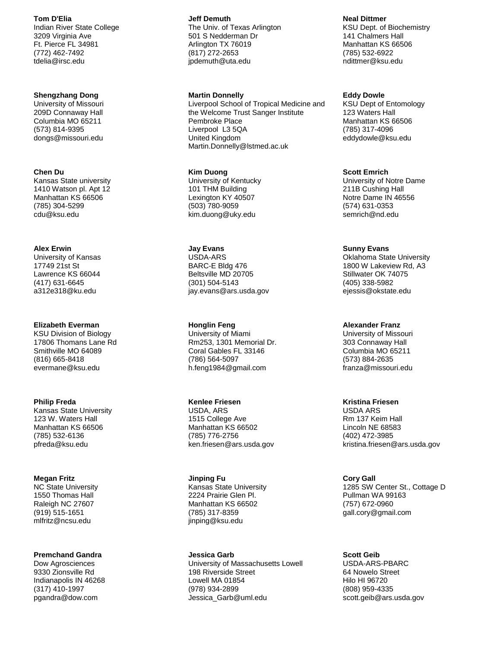**Tom D'Elia**

Indian River State College 3209 Virginia Ave Ft. Pierce FL 34981 (772) 462-7492 tdelia@irsc.edu

#### **Shengzhang Dong**

University of Missouri 209D Connaway Hall Columbia MO 65211 (573) 814-9395 dongs@missouri.edu

**Chen Du** Kansas State university 1410 Watson pl. Apt 12 Manhattan KS 66506 (785) 304-5299 cdu@ksu.edu

**Alex Erwin** University of Kansas 17749 21st St Lawrence KS 66044 (417) 631-6645 a312e318@ku.edu

# **Elizabeth Everman**

KSU Division of Biology 17806 Thomans Lane Rd Smithville MO 64089 (816) 665-8418 evermane@ksu.edu

#### **Philip Freda**

Kansas State University 123 W. Waters Hall Manhattan KS 66506 (785) 532-6136 pfreda@ksu.edu

**Megan Fritz**

NC State University 1550 Thomas Hall Raleigh NC 27607 (919) 515-1651 mlfritz@ncsu.edu

### **Premchand Gandra**

Dow Agrosciences 9330 Zionsville Rd Indianapolis IN 46268 (317) 410-1997 pgandra@dow.com

**Jeff Demuth** The Univ. of Texas Arlington 501 S Nedderman Dr Arlington TX 76019 (817) 272-2653 jpdemuth@uta.edu

**Martin Donnelly**

Liverpool School of Tropical Medicine and the Welcome Trust Sanger Institute Pembroke Place Liverpool L3 5QA United Kingdom Martin.Donnelly@lstmed.ac.uk

**Kim Duong** University of Kentucky 101 THM Building Lexington KY 40507 (503) 780-9059 kim.duong@uky.edu

**Jay Evans** USDA-ARS BARC-E Bldg 476 Beltsville MD 20705 (301) 504-5143 jay.evans@ars.usda.gov

**Honglin Feng** University of Miami Rm253, 1301 Memorial Dr. Coral Gables FL 33146 (786) 564-5097 h.feng1984@gmail.com

# **Kenlee Friesen**

USDA, ARS 1515 College Ave Manhattan KS 66502 (785) 776-2756 ken.friesen@ars.usda.gov

**Jinping Fu** Kansas State University 2224 Prairie Glen Pl. Manhattan KS 66502 (785) 317-8359 jinping@ksu.edu

**Jessica Garb** University of Massachusetts Lowell 198 Riverside Street Lowell MA 01854 (978) 934-2899 Jessica\_Garb@uml.edu

**Neal Dittmer** KSU Dept. of Biochemistry 141 Chalmers Hall Manhattan KS 66506 (785) 532-6922 ndittmer@ksu.edu

**Eddy Dowle** KSU Dept of Entomology 123 Waters Hall Manhattan KS 66506 (785) 317-4096 eddydowle@ksu.edu

**Scott Emrich** University of Notre Dame 211B Cushing Hall Notre Dame IN 46556 (574) 631-0353 semrich@nd.edu

**Sunny Evans**

Oklahoma State University 1800 W Lakeview Rd, A3 Stillwater OK 74075 (405) 338-5982 ejessis@okstate.edu

**Alexander Franz**

University of Missouri 303 Connaway Hall Columbia MO 65211 (573) 884-2635 franza@missouri.edu

### **Kristina Friesen**

USDA ARS Rm 137 Keim Hall Lincoln NE 68583 (402) 472-3985 kristina.friesen@ars.usda.gov

**Cory Gall** 1285 SW Center St., Cottage D Pullman WA 99163 (757) 672-0960 gall.cory@gmail.com

**Scott Geib** USDA-ARS-PBARC 64 Nowelo Street Hilo HI 96720 (808) 959-4335 scott.geib@ars.usda.gov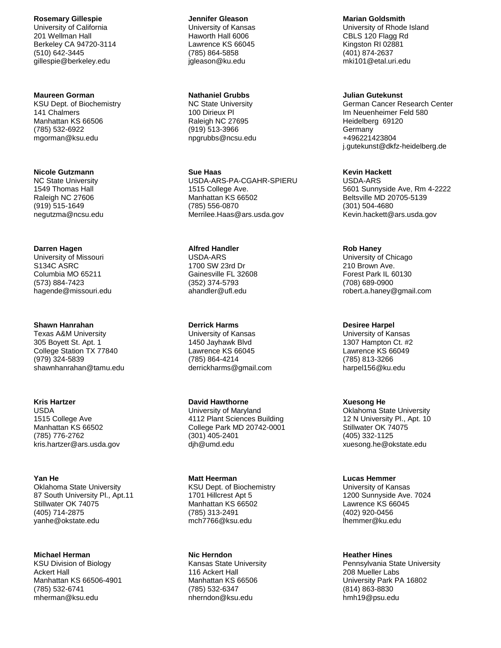**Rosemary Gillespie** University of California 201 Wellman Hall

Berkeley CA 94720-3114 (510) 642-3445 gillespie@berkeley.edu

#### **Maureen Gorman**

KSU Dept. of Biochemistry 141 Chalmers Manhattan KS 66506 (785) 532-6922 mgorman@ksu.edu

#### **Nicole Gutzmann**

NC State University 1549 Thomas Hall Raleigh NC 27606 (919) 515-1649 negutzma@ncsu.edu

### **Darren Hagen**

University of Missouri S134C ASRC Columbia MO 65211 (573) 884-7423 hagende@missouri.edu

### **Shawn Hanrahan**

Texas A&M University 305 Boyett St. Apt. 1 College Station TX 77840 (979) 324-5839 shawnhanrahan@tamu.edu

### **Kris Hartzer**

USDA 1515 College Ave Manhattan KS 66502 (785) 776-2762 kris.hartzer@ars.usda.gov

# **Yan He**

Oklahoma State University 87 South University Pl., Apt.11 Stillwater OK 74075 (405) 714-2875 yanhe@okstate.edu

### **Michael Herman**

KSU Division of Biology Ackert Hall Manhattan KS 66506-4901 (785) 532-6741 mherman@ksu.edu

### **Jennifer Gleason** University of Kansas Haworth Hall 6006 Lawrence KS 66045 (785) 864-5858

### **Nathaniel Grubbs**

jgleason@ku.edu

NC State University 100 Dirieux Pl Raleigh NC 27695 (919) 513-3966 npgrubbs@ncsu.edu

**Sue Haas** USDA-ARS-PA-CGAHR-SPIERU 1515 College Ave. Manhattan KS 66502 (785) 556-0870 Merrilee.Haas@ars.usda.gov

**Alfred Handler** USDA-ARS 1700 SW 23rd Dr Gainesville FL 32608 (352) 374-5793 ahandler@ufl.edu

# **Derrick Harms**

University of Kansas 1450 Jayhawk Blvd Lawrence KS 66045 (785) 864-4214 derrickharms@gmail.com

# **David Hawthorne**

University of Maryland 4112 Plant Sciences Building College Park MD 20742-0001 (301) 405-2401 djh@umd.edu

# **Matt Heerman**

KSU Dept. of Biochemistry 1701 Hillcrest Apt 5 Manhattan KS 66502 (785) 313-2491 mch7766@ksu.edu

# **Nic Herndon**

Kansas State University 116 Ackert Hall Manhattan KS 66506 (785) 532-6347 nherndon@ksu.edu

**Marian Goldsmith**

University of Rhode Island CBLS 120 Flagg Rd Kingston RI 02881 (401) 874-2637 mki101@etal.uri.edu

### **Julian Gutekunst**

German Cancer Research Center Im Neuenheimer Feld 580 Heidelberg 69120 Germany +496221423804 j.gutekunst@dkfz-heidelberg.de

# **Kevin Hackett**

USDA-ARS 5601 Sunnyside Ave, Rm 4-2222 Beltsville MD 20705-5139 (301) 504-4680 Kevin.hackett@ars.usda.gov

# **Rob Haney**

University of Chicago 210 Brown Ave. Forest Park IL 60130 (708) 689-0900 robert.a.haney@gmail.com

# **Desiree Harpel**

University of Kansas 1307 Hampton Ct. #2 Lawrence KS 66049 (785) 813-3266 harpel156@ku.edu

### **Xuesong He**

Oklahoma State University 12 N University Pl., Apt. 10 Stillwater OK 74075 (405) 332-1125 xuesong.he@okstate.edu

### **Lucas Hemmer**

University of Kansas 1200 Sunnyside Ave. 7024 Lawrence KS 66045 (402) 920-0456 lhemmer@ku.edu

### **Heather Hines**

Pennsylvania State University 208 Mueller Labs University Park PA 16802 (814) 863-8830 hmh19@psu.edu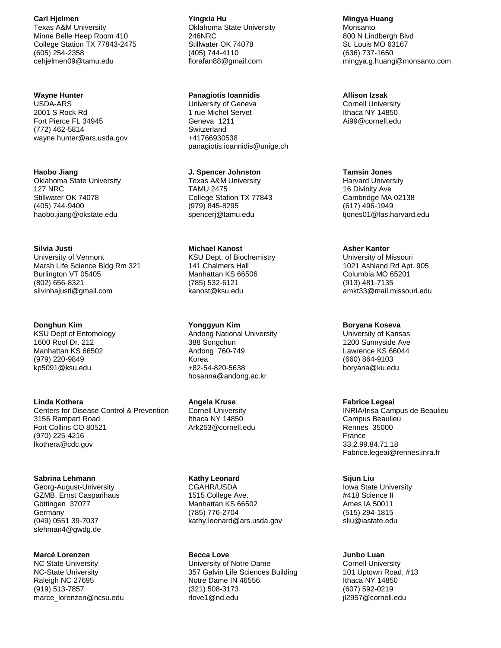**Carl Hjelmen** Texas A&M University Minne Belle Heep Room 410 College Station TX 77843-2475 (605) 254-2358 cehjelmen09@tamu.edu

### **Wayne Hunter**

USDA-ARS 2001 S Rock Rd Fort Pierce FL 34945 (772) 462-5814 wayne.hunter@ars.usda.gov

**Haobo Jiang** Oklahoma State University 127 NRC Stillwater OK 74078 (405) 744-9400 haobo.jiang@okstate.edu

**Silvia Justi** University of Vermont Marsh Life Science Bldg Rm 321 Burlington VT 05405 (802) 656-8321 silvinhajusti@gmail.com

**Donghun Kim** KSU Dept of Entomology 1600 Roof Dr. 212 Manhattan KS 66502 (979) 220-9849 kp5091@ksu.edu

**Linda Kothera** Centers for Disease Control & Prevention 3156 Rampart Road Fort Collins CO 80521 (970) 225-4216 lkothera@cdc.gov

**Sabrina Lehmann** Georg-August-University GZMB, Ernst Casparihaus Göttingen 37077 **Germany** (049) 0551 39-7037 slehman4@gwdg.de

**Marcé Lorenzen** NC State University NC-State University Raleigh NC 27695 (919) 513-7857 marce\_lorenzen@ncsu.edu

**Yingxia Hu** Oklahoma State University 246NRC Stillwater OK 74078 (405) 744-4110 florafan88@gmail.com

#### **Panagiotis Ioannidis**

University of Geneva 1 rue Michel Servet Geneva 1211 **Switzerland** +41766930538 panagiotis.ioannidis@unige.ch

**J. Spencer Johnston** Texas A&M University TAMU 2475 College Station TX 77843 (979) 845-8295 spencerj@tamu.edu

**Michael Kanost** KSU Dept. of Biochemistry 141 Chalmers Hall Manhattan KS 66506 (785) 532-6121 kanost@ksu.edu

**Yonggyun Kim** Andong National University 388 Songchun Andong 760-749 Korea +82-54-820-5638 hosanna@andong.ac.kr

**Angela Kruse** Cornell University Ithaca NY 14850 Ark253@cornell.edu

**Kathy Leonard** CGAHR/USDA

1515 College Ave. Manhattan KS 66502 (785) 776-2704 kathy.leonard@ars.usda.gov

**Becca Love** University of Notre Dame 357 Galvin Life Sciences Building Notre Dame IN 46556 (321) 508-3173 rlove1@nd.edu

**Mingya Huang** Monsanto 800 N Lindbergh Blvd St. Louis MO 63167 (636) 737-1650 mingya.g.huang@monsanto.com

**Allison Izsak**

Cornell University Ithaca NY 14850 Ai99@cornell.edu

**Tamsin Jones** Harvard University 16 Divinity Ave Cambridge MA 02138 (617) 496-1949 tjones01@fas.harvard.edu

#### **Asher Kantor**

University of Missouri 1021 Ashland Rd Apt. 905 Columbia MO 65201 (913) 481-7135 amkt33@mail.missouri.edu

**Boryana Koseva**

University of Kansas 1200 Sunnyside Ave Lawrence KS 66044 (660) 864-9103 boryana@ku.edu

### **Fabrice Legeai**

INRIA/Irisa Campus de Beaulieu Campus Beaulieu Rennes 35000 France 33.2.99.84.71.18 Fabrice.legeai@rennes.inra.fr

**Sijun Liu** Iowa State University #418 Science II Ames IA 50011 (515) 294-1815 sliu@iastate.edu

**Junbo Luan** Cornell University 101 Uptown Road, #13 Ithaca NY 14850 (607) 592-0219 jl2957@cornell.edu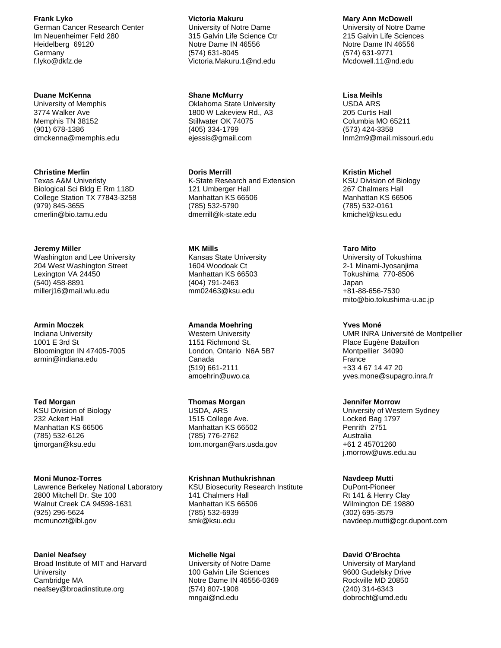**Frank Lyko** German Cancer Research Center Im Neuenheimer Feld 280 Heidelberg 69120 Germany f.lyko@dkfz.de

### **Duane McKenna**

University of Memphis 3774 Walker Ave Memphis TN 38152 (901) 678-1386 dmckenna@memphis.edu

### **Christine Merlin**

Texas A&M Univeristy Biological Sci Bldg E Rm 118D College Station TX 77843-3258 (979) 845-3655 cmerlin@bio.tamu.edu

#### **Jeremy Miller**

Washington and Lee University 204 West Washington Street Lexington VA 24450 (540) 458-8891 millerj16@mail.wlu.edu

### **Armin Moczek**

Indiana University 1001 E 3rd St Bloomington IN 47405-7005 armin@indiana.edu

### **Ted Morgan**

KSU Division of Biology 232 Ackert Hall Manhattan KS 66506 (785) 532-6126 tjmorgan@ksu.edu

#### **Moni Munoz-Torres**

Lawrence Berkeley National Laboratory 2800 Mitchell Dr. Ste 100 Walnut Creek CA 94598-1631 (925) 296-5624 mcmunozt@lbl.gov

### **Daniel Neafsey**

Broad Institute of MIT and Harvard **University** Cambridge MA neafsey@broadinstitute.org

#### **Victoria Makuru**

University of Notre Dame 315 Galvin Life Science Ctr Notre Dame IN 46556 (574) 631-8045 Victoria.Makuru.1@nd.edu

#### **Shane McMurry**

Oklahoma State University 1800 W Lakeview Rd., A3 Stillwater OK 74075 (405) 334-1799 ejessis@gmail.com

#### **Doris Merrill**

K-State Research and Extension 121 Umberger Hall Manhattan KS 66506 (785) 532-5790 dmerrill@k-state.edu

# **MK Mills**

Kansas State University 1604 Woodoak Ct Manhattan KS 66503 (404) 791-2463 mm02463@ksu.edu

### **Amanda Moehring**

Western University 1151 Richmond St. London, Ontario N6A 5B7 Canada (519) 661-2111 amoehrin@uwo.ca

### **Thomas Morgan**

USDA, ARS 1515 College Ave. Manhattan KS 66502 (785) 776-2762 tom.morgan@ars.usda.gov

### **Krishnan Muthukrishnan**

KSU Biosecurity Research Institute 141 Chalmers Hall Manhattan KS 66506 (785) 532-6939 smk@ksu.edu

#### **Michelle Ngai**

University of Notre Dame 100 Galvin Life Sciences Notre Dame IN 46556-0369 (574) 807-1908 mngai@nd.edu

### **Mary Ann McDowell**

University of Notre Dame 215 Galvin Life Sciences Notre Dame IN 46556 (574) 631-9771 Mcdowell.11@nd.edu

### **Lisa Meihls**

USDA ARS 205 Curtis Hall Columbia MO 65211 (573) 424-3358 lnm2m9@mail.missouri.edu

#### **Kristin Michel**

KSU Division of Biology 267 Chalmers Hall Manhattan KS 66506 (785) 532-0161 kmichel@ksu.edu

#### **Taro Mito**

University of Tokushima 2-1 Minami-Jyosanjima Tokushima 770-8506 Japan +81-88-656-7530 mito@bio.tokushima-u.ac.jp

#### **Yves Moné**

UMR INRA Université de Montpellier Place Eugène Bataillon Montpellier 34090 France +33 4 67 14 47 20 yves.mone@supagro.inra.fr

#### **Jennifer Morrow**

University of Western Sydney Locked Bag 1797 Penrith 2751 Australia +61 2 45701260 j.morrow@uws.edu.au

#### **Navdeep Mutti**

DuPont-Pioneer Rt 141 & Henry Clay Wilmington DE 19880 (302) 695-3579 navdeep.mutti@cgr.dupont.com

### **David O'Brochta**

University of Maryland 9600 Gudelsky Drive Rockville MD 20850 (240) 314-6343 dobrocht@umd.edu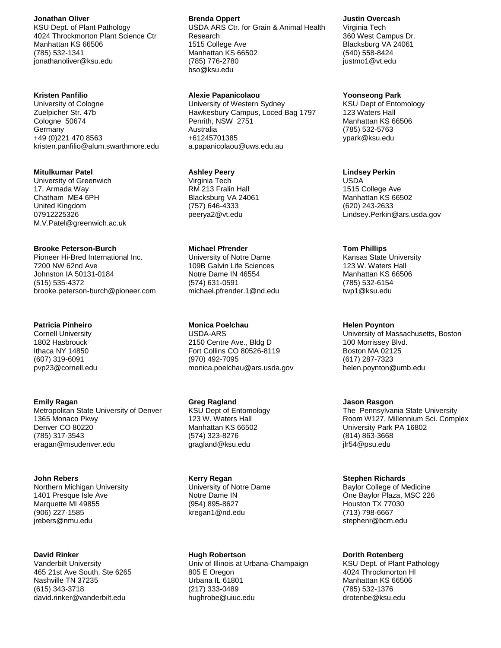#### **Jonathan Oliver**

KSU Dept. of Plant Pathology 4024 Throckmorton Plant Science Ctr Manhattan KS 66506 (785) 532-1341 jonathanoliver@ksu.edu

# **Kristen Panfilio**

University of Cologne Zuelpicher Str. 47b Cologne 50674 **Germany** +49 (0)221 470 8563 kristen.panfilio@alum.swarthmore.edu

#### **Mitulkumar Patel**

University of Greenwich 17, Armada Way Chatham ME4 6PH United Kingdom 07912225326 M.V.Patel@greenwich.ac.uk

#### **Brooke Peterson-Burch**

Pioneer Hi-Bred International Inc. 7200 NW 62nd Ave Johnston IA 50131-0184 (515) 535-4372 brooke.peterson-burch@pioneer.com

# **Patricia Pinheiro**

Cornell University 1802 Hasbrouck Ithaca NY 14850 (607) 319-6091 pvp23@cornell.edu

### **Emily Ragan**

Metropolitan State University of Denver 1365 Monaco Pkwy Denver CO 80220 (785) 317-3543 eragan@msudenver.edu

#### **John Rebers**

Northern Michigan University 1401 Presque Isle Ave Marquette MI 49855 (906) 227-1585 jrebers@nmu.edu

#### **David Rinker**

Vanderbilt University 465 21st Ave South, Ste 6265 Nashville TN 37235 (615) 343-3718 david.rinker@vanderbilt.edu

### **Brenda Oppert**

USDA ARS Ctr. for Grain & Animal Health Research 1515 College Ave Manhattan KS 66502 (785) 776-2780 bso@ksu.edu

### **Alexie Papanicolaou**

University of Western Sydney Hawkesbury Campus, Loced Bag 1797 Penrith, NSW 2751 Australia +61245701385 a.papanicolaou@uws.edu.au

#### **Ashley Peery**

Virginia Tech RM 213 Fralin Hall Blacksburg VA 24061 (757) 646-4333 peerya2@vt.edu

#### **Michael Pfrender**

University of Notre Dame 109B Galvin Life Sciences Notre Dame IN 46554 (574) 631-0591 michael.pfrender.1@nd.edu

**Monica Poelchau** USDA-ARS

2150 Centre Ave., Bldg D Fort Collins CO 80526-8119 (970) 492-7095 monica.poelchau@ars.usda.gov

### **Greg Ragland**

KSU Dept of Entomology 123 W. Waters Hall Manhattan KS 66502 (574) 323-8276 gragland@ksu.edu

### **Kerry Regan**

University of Notre Dame Notre Dame IN (954) 895-8627 kregan1@nd.edu

#### **Hugh Robertson**

Univ of Illinois at Urbana-Champaign 805 E Oregon Urbana IL 61801 (217) 333-0489 hughrobe@uiuc.edu

### **Justin Overcash**

Virginia Tech 360 West Campus Dr. Blacksburg VA 24061 (540) 558-8424 justmo1@vt.edu

### **Yoonseong Park**

KSU Dept of Entomology 123 Waters Hall Manhattan KS 66506 (785) 532-5763 ypark@ksu.edu

#### **Lindsey Perkin**

USDA 1515 College Ave Manhattan KS 66502 (620) 243-2633 Lindsey.Perkin@ars.usda.gov

#### **Tom Phillips**

Kansas State University 123 W. Waters Hall Manhattan KS 66506 (785) 532-6154 twp1@ksu.edu

#### **Helen Poynton**

University of Massachusetts, Boston 100 Morrissey Blvd. Boston MA 02125 (617) 287-7323 helen.poynton@umb.edu

### **Jason Rasgon**

The Pennsylvania State University Room W127, Millennium Sci. Complex University Park PA 16802 (814) 863-3668 jlr54@psu.edu

#### **Stephen Richards**

Baylor College of Medicine One Baylor Plaza, MSC 226 Houston TX 77030 (713) 798-6667 stephenr@bcm.edu

### **Dorith Rotenberg**

KSU Dept. of Plant Pathology 4024 Throckmorton Hl Manhattan KS 66506 (785) 532-1376 drotenbe@ksu.edu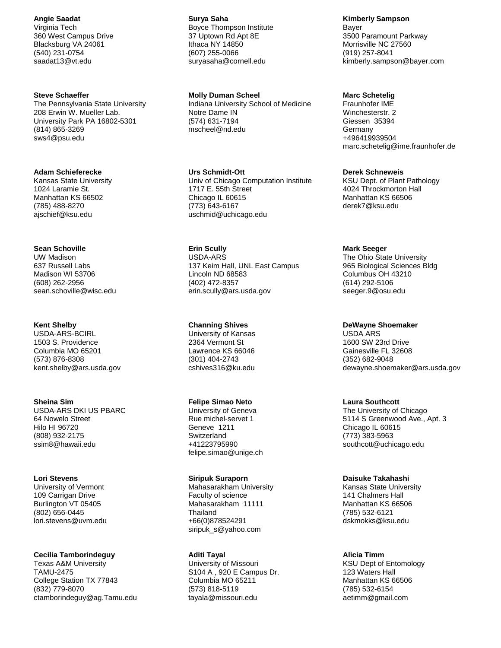**Angie Saadat**

Virginia Tech 360 West Campus Drive Blacksburg VA 24061 (540) 231-0754 saadat13@vt.edu

### **Steve Schaeffer**

The Pennsylvania State University 208 Erwin W. Mueller Lab. University Park PA 16802-5301 (814) 865-3269 sws4@psu.edu

#### **Adam Schieferecke**

Kansas State University 1024 Laramie St. Manhattan KS 66502 (785) 488-8270 ajschief@ksu.edu

#### **Sean Schoville**

UW Madison 637 Russell Labs Madison WI 53706 (608) 262-2956 sean.schoville@wisc.edu

#### **Kent Shelby**

USDA-ARS-BCIRL 1503 S. Providence Columbia MO 65201 (573) 876-8308 kent.shelby@ars.usda.gov

#### **Sheina Sim**

USDA-ARS DKI US PBARC 64 Nowelo Street Hilo HI 96720 (808) 932-2175 ssim8@hawaii.edu

#### **Lori Stevens**

University of Vermont 109 Carrigan Drive Burlington VT 05405 (802) 656-0445 lori.stevens@uvm.edu

### **Cecilia Tamborindeguy**

Texas A&M University TAMU-2475 College Station TX 77843 (832) 779-8070 ctamborindeguy@ag.Tamu.edu **Surya Saha** Boyce Thompson Institute 37 Uptown Rd Apt 8E Ithaca NY 14850 (607) 255-0066 suryasaha@cornell.edu

**Molly Duman Scheel** Indiana University School of Medicine Notre Dame IN (574) 631-7194 mscheel@nd.edu

**Urs Schmidt-Ott** Univ of Chicago Computation Institute 1717 E. 55th Street Chicago IL 60615 (773) 643-6167 uschmid@uchicago.edu

**Erin Scully** USDA-ARS 137 Keim Hall, UNL East Campus Lincoln ND 68583 (402) 472-8357 erin.scully@ars.usda.gov

**Channing Shives** University of Kansas 2364 Vermont St Lawrence KS 66046 (301) 404-2743 cshives316@ku.edu

### **Felipe Simao Neto**

University of Geneva Rue michel-servet 1 Geneve 1211 Switzerland +41223795990 felipe.simao@unige.ch

#### **Siripuk Suraporn**

Mahasarakham University Faculty of science Mahasarakham 11111 **Thailand** +66(0)878524291 siripuk\_s@yahoo.com

#### **Aditi Tayal**

University of Missouri S104 A , 920 E Campus Dr. Columbia MO 65211 (573) 818-5119 tayala@missouri.edu

**Kimberly Sampson**

Bayer 3500 Paramount Parkway Morrisville NC 27560 (919) 257-8041 kimberly.sampson@bayer.com

### **Marc Schetelig**

Fraunhofer IME Winchesterstr. 2 Giessen 35394 Germany +496419939504 marc.schetelig@ime.fraunhofer.de

#### **Derek Schneweis**

KSU Dept. of Plant Pathology 4024 Throckmorton Hall Manhattan KS 66506 derek7@ksu.edu

#### **Mark Seeger**

The Ohio State University 965 Biological Sciences Bldg Columbus OH 43210 (614) 292-5106 seeger.9@osu.edu

**DeWayne Shoemaker**

USDA ARS 1600 SW 23rd Drive Gainesville FL 32608 (352) 682-9048 dewayne.shoemaker@ars.usda.gov

### **Laura Southcott**

The University of Chicago 5114 S Greenwood Ave., Apt. 3 Chicago IL 60615 (773) 383-5963 southcott@uchicago.edu

# **Daisuke Takahashi**

Kansas State University 141 Chalmers Hall Manhattan KS 66506 (785) 532-6121 dskmokks@ksu.edu

#### **Alicia Timm**

KSU Dept of Entomology 123 Waters Hall Manhattan KS 66506 (785) 532-6154 aetimm@gmail.com